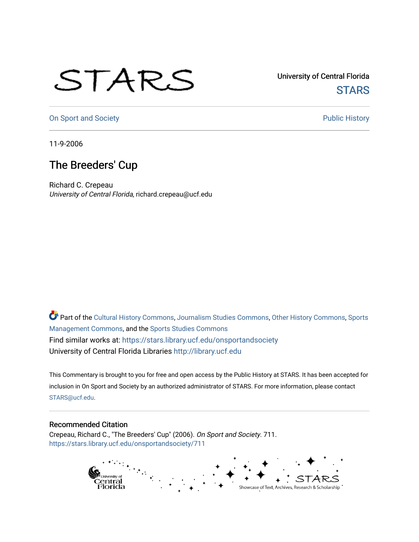## STARS

University of Central Florida **STARS** 

[On Sport and Society](https://stars.library.ucf.edu/onsportandsociety) **Public History** Public History

11-9-2006

## The Breeders' Cup

Richard C. Crepeau University of Central Florida, richard.crepeau@ucf.edu

Part of the [Cultural History Commons](http://network.bepress.com/hgg/discipline/496?utm_source=stars.library.ucf.edu%2Fonsportandsociety%2F711&utm_medium=PDF&utm_campaign=PDFCoverPages), [Journalism Studies Commons,](http://network.bepress.com/hgg/discipline/333?utm_source=stars.library.ucf.edu%2Fonsportandsociety%2F711&utm_medium=PDF&utm_campaign=PDFCoverPages) [Other History Commons,](http://network.bepress.com/hgg/discipline/508?utm_source=stars.library.ucf.edu%2Fonsportandsociety%2F711&utm_medium=PDF&utm_campaign=PDFCoverPages) [Sports](http://network.bepress.com/hgg/discipline/1193?utm_source=stars.library.ucf.edu%2Fonsportandsociety%2F711&utm_medium=PDF&utm_campaign=PDFCoverPages) [Management Commons](http://network.bepress.com/hgg/discipline/1193?utm_source=stars.library.ucf.edu%2Fonsportandsociety%2F711&utm_medium=PDF&utm_campaign=PDFCoverPages), and the [Sports Studies Commons](http://network.bepress.com/hgg/discipline/1198?utm_source=stars.library.ucf.edu%2Fonsportandsociety%2F711&utm_medium=PDF&utm_campaign=PDFCoverPages) Find similar works at: <https://stars.library.ucf.edu/onsportandsociety> University of Central Florida Libraries [http://library.ucf.edu](http://library.ucf.edu/) 

This Commentary is brought to you for free and open access by the Public History at STARS. It has been accepted for inclusion in On Sport and Society by an authorized administrator of STARS. For more information, please contact [STARS@ucf.edu](mailto:STARS@ucf.edu).

## Recommended Citation

Crepeau, Richard C., "The Breeders' Cup" (2006). On Sport and Society. 711. [https://stars.library.ucf.edu/onsportandsociety/711](https://stars.library.ucf.edu/onsportandsociety/711?utm_source=stars.library.ucf.edu%2Fonsportandsociety%2F711&utm_medium=PDF&utm_campaign=PDFCoverPages)

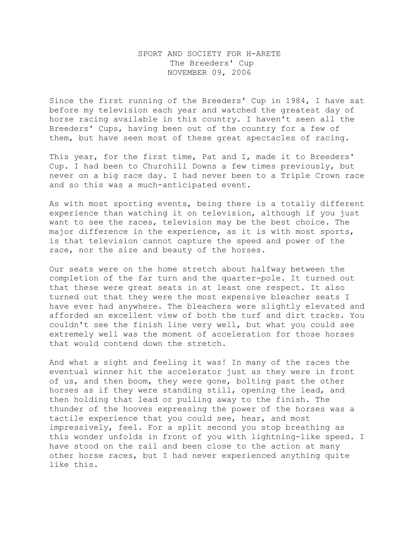## SPORT AND SOCIETY FOR H-ARETE The Breeders' Cup NOVEMBER 09, 2006

Since the first running of the Breeders' Cup in 1984, I have sat before my television each year and watched the greatest day of horse racing available in this country. I haven't seen all the Breeders' Cups, having been out of the country for a few of them, but have seen most of these great spectacles of racing.

This year, for the first time, Pat and I, made it to Breeders' Cup. I had been to Churchill Downs a few times previously, but never on a big race day. I had never been to a Triple Crown race and so this was a much-anticipated event.

As with most sporting events, being there is a totally different experience than watching it on television, although if you just want to see the races, television may be the best choice. The major difference in the experience, as it is with most sports, is that television cannot capture the speed and power of the race, nor the size and beauty of the horses.

Our seats were on the home stretch about halfway between the completion of the far turn and the quarter-pole. It turned out that these were great seats in at least one respect. It also turned out that they were the most expensive bleacher seats I have ever had anywhere. The bleachers were slightly elevated and afforded an excellent view of both the turf and dirt tracks. You couldn't see the finish line very well, but what you could see extremely well was the moment of acceleration for those horses that would contend down the stretch.

And what a sight and feeling it was! In many of the races the eventual winner hit the accelerator just as they were in front of us, and then boom, they were gone, bolting past the other horses as if they were standing still, opening the lead, and then holding that lead or pulling away to the finish. The thunder of the hooves expressing the power of the horses was a tactile experience that you could see, hear, and most impressively, feel. For a split second you stop breathing as this wonder unfolds in front of you with lightning-like speed. I have stood on the rail and been close to the action at many other horse races, but I had never experienced anything quite like this.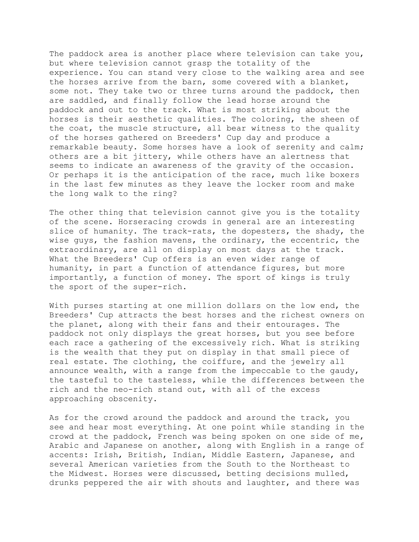The paddock area is another place where television can take you, but where television cannot grasp the totality of the experience. You can stand very close to the walking area and see the horses arrive from the barn, some covered with a blanket, some not. They take two or three turns around the paddock, then are saddled, and finally follow the lead horse around the paddock and out to the track. What is most striking about the horses is their aesthetic qualities. The coloring, the sheen of the coat, the muscle structure, all bear witness to the quality of the horses gathered on Breeders' Cup day and produce a remarkable beauty. Some horses have a look of serenity and calm; others are a bit jittery, while others have an alertness that seems to indicate an awareness of the gravity of the occasion. Or perhaps it is the anticipation of the race, much like boxers in the last few minutes as they leave the locker room and make the long walk to the ring?

The other thing that television cannot give you is the totality of the scene. Horseracing crowds in general are an interesting slice of humanity. The track-rats, the dopesters, the shady, the wise guys, the fashion mavens, the ordinary, the eccentric, the extraordinary, are all on display on most days at the track. What the Breeders' Cup offers is an even wider range of humanity, in part a function of attendance figures, but more importantly, a function of money. The sport of kings is truly the sport of the super-rich.

With purses starting at one million dollars on the low end, the Breeders' Cup attracts the best horses and the richest owners on the planet, along with their fans and their entourages. The paddock not only displays the great horses, but you see before each race a gathering of the excessively rich. What is striking is the wealth that they put on display in that small piece of real estate. The clothing, the coiffure, and the jewelry all announce wealth, with a range from the impeccable to the gaudy, the tasteful to the tasteless, while the differences between the rich and the neo-rich stand out, with all of the excess approaching obscenity.

As for the crowd around the paddock and around the track, you see and hear most everything. At one point while standing in the crowd at the paddock, French was being spoken on one side of me, Arabic and Japanese on another, along with English in a range of accents: Irish, British, Indian, Middle Eastern, Japanese, and several American varieties from the South to the Northeast to the Midwest. Horses were discussed, betting decisions mulled, drunks peppered the air with shouts and laughter, and there was